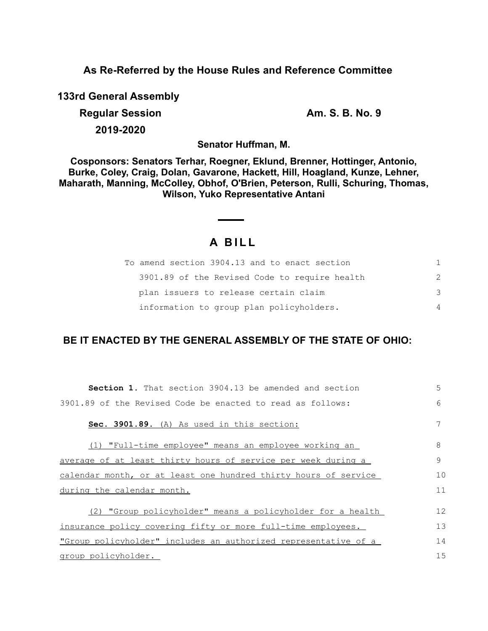### **As Re-Referred by the House Rules and Reference Committee**

**133rd General Assembly**

**Regular Session Am. S. B. No. 9 2019-2020**

**Senator Huffman, M.**

**Cosponsors: Senators Terhar, Roegner, Eklund, Brenner, Hottinger, Antonio, Burke, Coley, Craig, Dolan, Gavarone, Hackett, Hill, Hoagland, Kunze, Lehner, Maharath, Manning, McColley, Obhof, O'Brien, Peterson, Rulli, Schuring, Thomas, Wilson, Yuko Representative Antani**

# **A B I L L**

| To amend section 3904.13 and to enact section | 1. |
|-----------------------------------------------|----|
| 3901.89 of the Revised Code to require health | 2  |
| plan issuers to release certain claim         | 3  |
| information to group plan policyholders.      | 4  |

## **BE IT ENACTED BY THE GENERAL ASSEMBLY OF THE STATE OF OHIO:**

| <b>Section 1.</b> That section 3904.13 be amended and section   | 5  |
|-----------------------------------------------------------------|----|
| 3901.89 of the Revised Code be enacted to read as follows:      | 6  |
| Sec. 3901.89. (A) As used in this section:                      | 7  |
| (1) "Full-time employee" means an employee working an           | 8  |
| average of at least thirty hours of service per week during a   | 9  |
| calendar month, or at least one hundred thirty hours of service | 10 |
| during the calendar month.                                      | 11 |
| (2) "Group policyholder" means a policyholder for a health      | 12 |
| insurance policy covering fifty or more full-time employees.    | 13 |
| "Group policyholder" includes an authorized representative of a | 14 |
| group policyholder.                                             | 15 |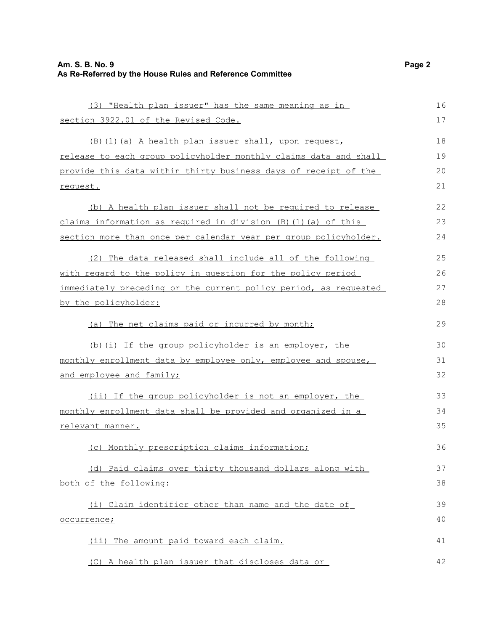| (3) "Health plan issuer" has the same meaning as in                  | 16 |
|----------------------------------------------------------------------|----|
| section 3922.01 of the Revised Code.                                 | 17 |
| (B) (1) (a) A health plan issuer shall, upon request,                | 18 |
| release to each group policyholder monthly claims data and shall     | 19 |
| provide this data within thirty business days of receipt of the      | 20 |
| request.                                                             | 21 |
| (b) A health plan issuer shall not be required to release            | 22 |
| claims information as required in division $(B)$ $(1)$ $(a)$ of this | 23 |
| section more than once per calendar year per group policyholder.     | 24 |
| (2) The data released shall include all of the following             | 25 |
| with regard to the policy in question for the policy period          | 26 |
| immediately preceding or the current policy period, as requested     | 27 |
| by the policyholder:                                                 |    |
| (a) The net claims paid or incurred by month;                        | 29 |
| (b) (i) If the group policyholder is an employer, the                | 30 |
| monthly enrollment data by employee only, employee and spouse,       | 31 |
| and employee and family;                                             | 32 |
| (ii) If the group policyholder is not an employer, the               | 33 |
| monthly enrollment data shall be provided and organized in a         | 34 |
| relevant manner.                                                     | 35 |
| (c) Monthly prescription claims information;                         | 36 |
| (d) Paid claims over thirty thousand dollars along with              | 37 |
| both of the following:                                               | 38 |
| (i) Claim identifier other than name and the date of                 | 39 |
| occurrence;                                                          | 40 |
| (ii) The amount paid toward each claim.                              | 41 |
| (C) A health plan issuer that discloses data or                      | 42 |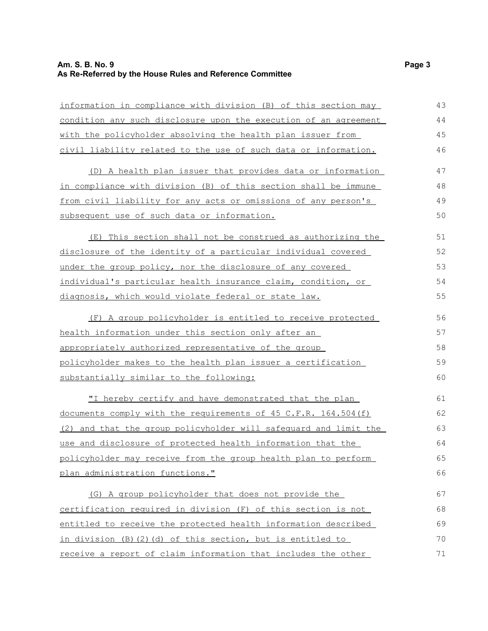### **Am. S. B. No. 9 Page 3 As Re-Referred by the House Rules and Reference Committee**

| information in compliance with division (B) of this section may  | 43 |
|------------------------------------------------------------------|----|
| condition any such disclosure upon the execution of an agreement | 44 |
| with the policyholder absolving the health plan issuer from      | 45 |
| civil liability related to the use of such data or information.  | 46 |
| (D) A health plan issuer that provides data or information       | 47 |
| in compliance with division (B) of this section shall be immune  | 48 |
| from civil liability for any acts or omissions of any person's   | 49 |
| subsequent use of such data or information.                      | 50 |
| (E) This section shall not be construed as authorizing the       | 51 |
| disclosure of the identity of a particular individual covered    | 52 |
| under the group policy, nor the disclosure of any covered        | 53 |
| individual's particular health insurance claim, condition, or    | 54 |
| diagnosis, which would violate federal or state law.             | 55 |
| (F) A group policyholder is entitled to receive protected        | 56 |
| health information under this section only after an              | 57 |
| appropriately authorized representative of the group             | 58 |
| policyholder makes to the health plan issuer a certification     | 59 |
| substantially similar to the following:                          | 60 |
| "I hereby certify and have demonstrated that the plan            | 61 |
| documents comply with the requirements of 45 C.F.R. 164.504(f)   | 62 |
| (2) and that the group policyholder will safequard and limit the | 63 |
| use and disclosure of protected health information that the      | 64 |
| policyholder may receive from the group health plan to perform   | 65 |
| plan administration functions."                                  | 66 |
| (G) A group policyholder that does not provide the               | 67 |
| certification required in division (F) of this section is not    | 68 |
| entitled to receive the protected health information described   | 69 |
| in division (B)(2)(d) of this section, but is entitled to        | 70 |
| receive a report of claim information that includes the other    | 71 |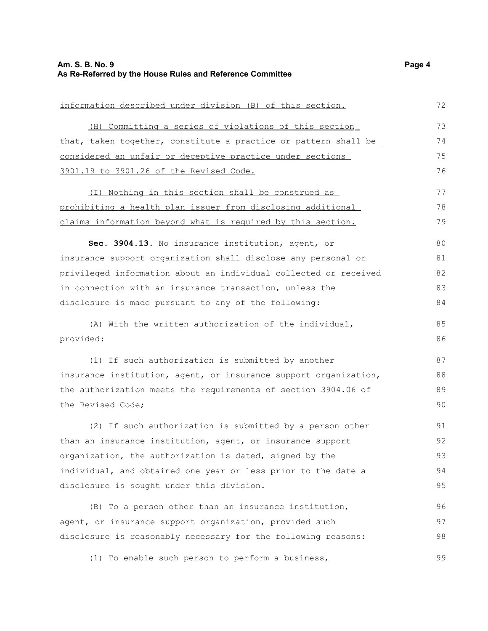information described under division (B) of this section.

 (H) Committing a series of violations of this section that, taken together, constitute a practice or pattern shall be considered an unfair or deceptive practice under sections 3901.19 to 3901.26 of the Revised Code. (I) Nothing in this section shall be construed as prohibiting a health plan issuer from disclosing additional

claims information beyond what is required by this section. 78 79

**Sec. 3904.13.** No insurance institution, agent, or insurance support organization shall disclose any personal or privileged information about an individual collected or received in connection with an insurance transaction, unless the disclosure is made pursuant to any of the following: 80 81 82 83 84

(A) With the written authorization of the individual, provided:

(1) If such authorization is submitted by another insurance institution, agent, or insurance support organization, the authorization meets the requirements of section 3904.06 of the Revised Code; 87 88 89 90

(2) If such authorization is submitted by a person other than an insurance institution, agent, or insurance support organization, the authorization is dated, signed by the individual, and obtained one year or less prior to the date a disclosure is sought under this division. 91 92 93 94 95

(B) To a person other than an insurance institution, agent, or insurance support organization, provided such disclosure is reasonably necessary for the following reasons: 96 97 98

(1) To enable such person to perform a business, 99

72

77

85 86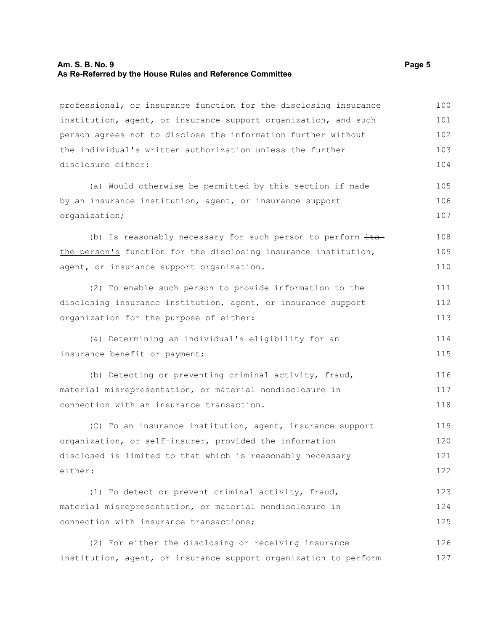#### **Am. S. B. No. 9 Page 5 As Re-Referred by the House Rules and Reference Committee**

professional, or insurance function for the disclosing insurance institution, agent, or insurance support organization, and such person agrees not to disclose the information further without the individual's written authorization unless the further disclosure either: 100 101 102 103 104

(a) Would otherwise be permitted by this section if made by an insurance institution, agent, or insurance support organization; 105 106 107

(b) Is reasonably necessary for such person to perform  $\frac{its}{s}$ the person's function for the disclosing insurance institution, agent, or insurance support organization. 108 109 110

(2) To enable such person to provide information to the disclosing insurance institution, agent, or insurance support organization for the purpose of either: 111 112 113

(a) Determining an individual's eligibility for an insurance benefit or payment;

(b) Detecting or preventing criminal activity, fraud, material misrepresentation, or material nondisclosure in connection with an insurance transaction. 116 117 118

(C) To an insurance institution, agent, insurance support organization, or self-insurer, provided the information disclosed is limited to that which is reasonably necessary either: 119 120 121 122

(1) To detect or prevent criminal activity, fraud, material misrepresentation, or material nondisclosure in connection with insurance transactions; 123 124 125

(2) For either the disclosing or receiving insurance institution, agent, or insurance support organization to perform 126 127

114 115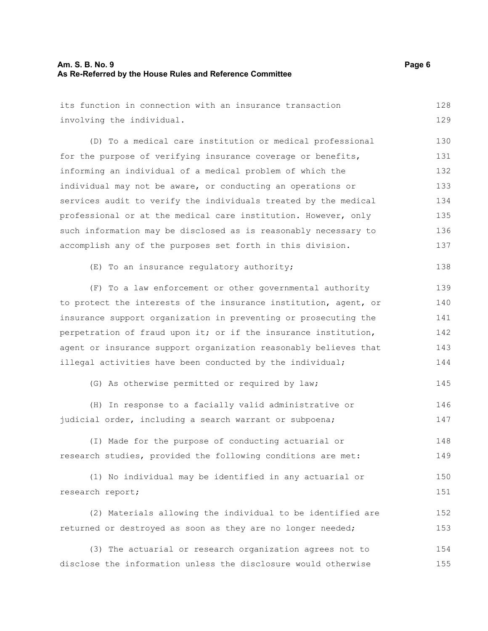155

| its function in connection with an insurance transaction         | 128 |
|------------------------------------------------------------------|-----|
| involving the individual.                                        | 129 |
| (D) To a medical care institution or medical professional        | 130 |
| for the purpose of verifying insurance coverage or benefits,     | 131 |
| informing an individual of a medical problem of which the        | 132 |
| individual may not be aware, or conducting an operations or      | 133 |
| services audit to verify the individuals treated by the medical  | 134 |
| professional or at the medical care institution. However, only   | 135 |
| such information may be disclosed as is reasonably necessary to  | 136 |
| accomplish any of the purposes set forth in this division.       | 137 |
| (E) To an insurance regulatory authority;                        | 138 |
| (F) To a law enforcement or other governmental authority         | 139 |
| to protect the interests of the insurance institution, agent, or | 140 |
| insurance support organization in preventing or prosecuting the  | 141 |
| perpetration of fraud upon it; or if the insurance institution,  | 142 |
| agent or insurance support organization reasonably believes that | 143 |
| illegal activities have been conducted by the individual;        | 144 |
| (G) As otherwise permitted or required by law;                   | 145 |
| (H) In response to a facially valid administrative or            | 146 |
| judicial order, including a search warrant or subpoena;          | 147 |
| (I) Made for the purpose of conducting actuarial or              | 148 |
| research studies, provided the following conditions are met:     | 149 |
| (1) No individual may be identified in any actuarial or          | 150 |
| research report;                                                 | 151 |
| (2) Materials allowing the individual to be identified are       | 152 |
| returned or destroyed as soon as they are no longer needed;      | 153 |
| (3) The actuarial or research organization agrees not to         | 154 |

disclose the information unless the disclosure would otherwise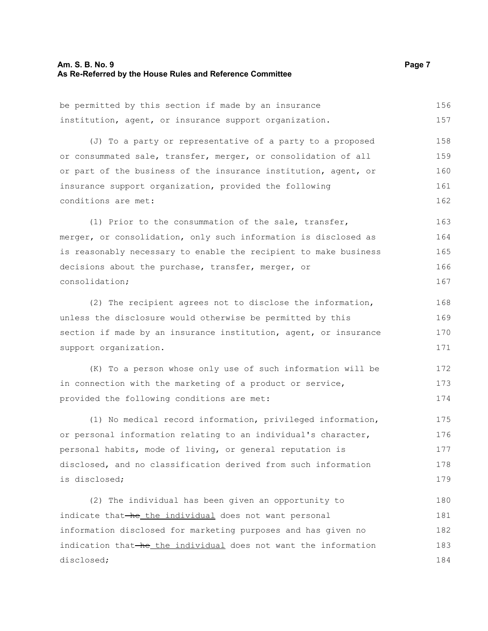#### **Am. S. B. No. 9 Page 7 As Re-Referred by the House Rules and Reference Committee**

be permitted by this section if made by an insurance institution, agent, or insurance support organization. (J) To a party or representative of a party to a proposed or consummated sale, transfer, merger, or consolidation of all or part of the business of the insurance institution, agent, or 156 157 158 159 160

insurance support organization, provided the following conditions are met:

(1) Prior to the consummation of the sale, transfer, merger, or consolidation, only such information is disclosed as is reasonably necessary to enable the recipient to make business decisions about the purchase, transfer, merger, or consolidation; 163 164 165 166 167

(2) The recipient agrees not to disclose the information, unless the disclosure would otherwise be permitted by this section if made by an insurance institution, agent, or insurance support organization.

(K) To a person whose only use of such information will be in connection with the marketing of a product or service, provided the following conditions are met: 172 173 174

(1) No medical record information, privileged information, or personal information relating to an individual's character, personal habits, mode of living, or general reputation is disclosed, and no classification derived from such information is disclosed; 175 176 177 178 179

(2) The individual has been given an opportunity to indicate that-he the individual does not want personal information disclosed for marketing purposes and has given no indication that he the individual does not want the information disclosed; 180 181 182 183 184

161 162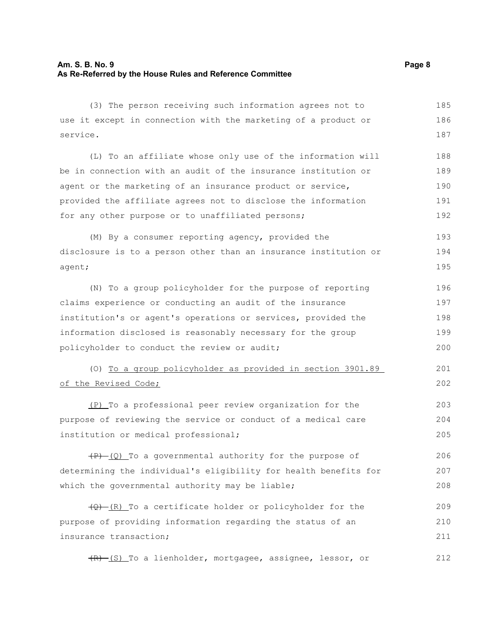| (3) The person receiving such information agrees not to           | 185 |
|-------------------------------------------------------------------|-----|
| use it except in connection with the marketing of a product or    | 186 |
| service.                                                          | 187 |
| (L) To an affiliate whose only use of the information will        | 188 |
| be in connection with an audit of the insurance institution or    | 189 |
| agent or the marketing of an insurance product or service,        | 190 |
| provided the affiliate agrees not to disclose the information     | 191 |
| for any other purpose or to unaffiliated persons;                 | 192 |
| (M) By a consumer reporting agency, provided the                  | 193 |
| disclosure is to a person other than an insurance institution or  | 194 |
| agent;                                                            | 195 |
| (N) To a group policyholder for the purpose of reporting          | 196 |
| claims experience or conducting an audit of the insurance         | 197 |
| institution's or agent's operations or services, provided the     | 198 |
| information disclosed is reasonably necessary for the group       | 199 |
| policyholder to conduct the review or audit;                      | 200 |
| (0) To a group policyholder as provided in section 3901.89        | 201 |
| of the Revised Code;                                              | 202 |
| (P) To a professional peer review organization for the            | 203 |
| purpose of reviewing the service or conduct of a medical care     | 204 |
| institution or medical professional;                              | 205 |
| $(P)$ (Q) To a governmental authority for the purpose of          | 206 |
| determining the individual's eligibility for health benefits for  | 207 |
| which the governmental authority may be liable;                   | 208 |
| $\frac{1}{2}$ (R) To a certificate holder or policyholder for the | 209 |
| purpose of providing information regarding the status of an       | 210 |
| insurance transaction;                                            | 211 |
| (R) (S) To a lienholder, mortgagee, assignee, lessor, or          | 212 |